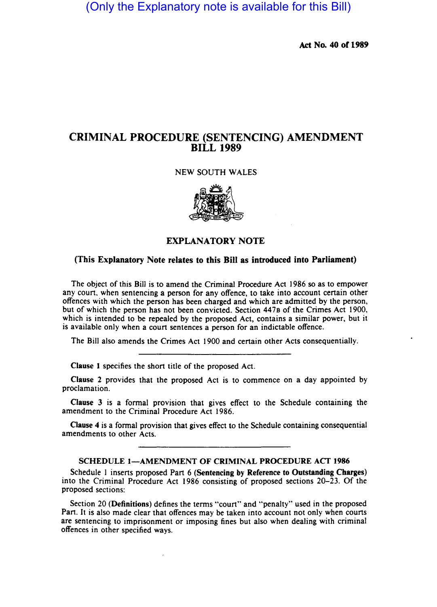(Only the Explanatory note is available for this Bill)

Act No. 40 of 1989

# CRIMINAL PROCEDURE (SENTENCING) AMENDMENT BILL 1989

## NEW SOUTH WALES



EXPLANATORY NOTE

# (This Explanatory Note relates to this Bill as introduced into Parliament)

The object of this Bill is to amend the Criminal Procedure Act 1986 so as to empower any court. when sentencing a person for any offence, to take into account certain other offences with which the person has been charged and which are admitted by the person, but of which the person has not been convicted. Section 4470 of the Crimes Act 1900, which is intended to be repealed by the proposed Act, contains a similar power, but it is available only when a court sentences a person fot an indictable offence.

The Bill also amends the Crimes Act 1900 and certain other Acts consequentially.

Clause I specifies the short title of the proposed Act.

Clause 2 provides that the proposed Act is to commence on a day appointed by proclamation.

Clause 3 is a formal provision that gives effect to the Schedule containing the amendment to the Criminal Procedure Act 1986.

Clause 4 is a formal provision that gives effect to the Schedule containing consequential amendments to other Acts.

#### SCHEDULE 1-AMENDMENT OF CRIMINAL PROCEDURE ACT 1986

Schedule 1 inserts proposed Part 6 (Sentencing by Reference to Outstanding Charges) into the Criminal Procedure Act 1986 consisting of proposed sections 20-23. Of the proposed sections:

Section 20 (Definitions) defines the terms "court" and "penalty" used in the proposed Part. It is also made clear that offences may be taken into account not only when courts are sentencing to imprisonment or imposing fines but also when dealing with criminal offences in other specified ways.